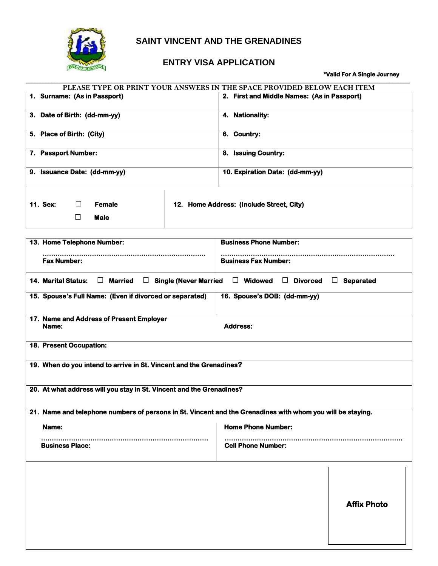

## **SAINT VINCENT AND THE GRENADINES**

## **ENTRY VISA APPLICATION**

## **\*Valid For A Single Journey**

| PLEASE TYPE OR PRINT YOUR ANSWERS IN THE SPACE PROVIDED BELOW EACH ITEM                                                               |  |                                             |                    |  |  |
|---------------------------------------------------------------------------------------------------------------------------------------|--|---------------------------------------------|--------------------|--|--|
| 1. Surname: (As in Passport)                                                                                                          |  | 2. First and Middle Names: (As in Passport) |                    |  |  |
| 3. Date of Birth: (dd-mm-yy)                                                                                                          |  | 4. Nationality:                             |                    |  |  |
| 5. Place of Birth: (City)                                                                                                             |  | 6. Country:                                 |                    |  |  |
| 7. Passport Number:                                                                                                                   |  | 8. Issuing Country:                         |                    |  |  |
| 9. Issuance Date: (dd-mm-yy)                                                                                                          |  | 10. Expiration Date: (dd-mm-yy)             |                    |  |  |
| 11. Sex:<br><b>Female</b><br>$\Box$<br>$\Box$<br><b>Male</b>                                                                          |  | 12. Home Address: (Include Street, City)    |                    |  |  |
| 13. Home Telephone Number:<br><b>Business Phone Number:</b>                                                                           |  |                                             |                    |  |  |
| <b>Fax Number:</b>                                                                                                                    |  | <b>Business Fax Number:</b>                 |                    |  |  |
| <b>14. Marital Status:</b><br>$\Box$ Married<br>$\Box$ Single (Never Married<br>$\Box$ Widowed<br>$\Box$ Divorced<br>$\Box$ Separated |  |                                             |                    |  |  |
| 15. Spouse's Full Name: (Even if divorced or separated)                                                                               |  | 16. Spouse's DOB: (dd-mm-yy)                |                    |  |  |
| 17. Name and Address of Present Employer<br><b>Address:</b><br>Name:                                                                  |  |                                             |                    |  |  |
| 18. Present Occupation:                                                                                                               |  |                                             |                    |  |  |
| 19. When do you intend to arrive in St. Vincent and the Grenadines?                                                                   |  |                                             |                    |  |  |
| 20. At what address will you stay in St. Vincent and the Grenadines?                                                                  |  |                                             |                    |  |  |
| 21. Name and telephone numbers of persons in St. Vincent and the Grenadines with whom you will be staying.                            |  |                                             |                    |  |  |
| Name:                                                                                                                                 |  | <b>Home Phone Number:</b>                   |                    |  |  |
| <b>Business Place:</b>                                                                                                                |  | <br><b>Cell Phone Number:</b>               |                    |  |  |
|                                                                                                                                       |  |                                             |                    |  |  |
|                                                                                                                                       |  |                                             | <b>Affix Photo</b> |  |  |